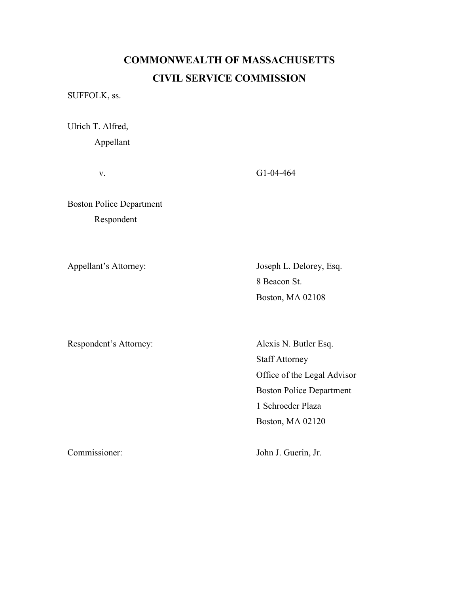## COMMONWEALTH OF MASSACHUSETTS CIVIL SERVICE COMMISSION

SUFFOLK, ss.

Ulrich T. Alfred, Appellant

v. G1-04-464

Boston Police Department Respondent

Appellant's Attorney: Joseph L. Delorey, Esq. 8 Beacon St. Boston, MA 02108

Respondent's Attorney: Alexis N. Butler Esq.

 Staff Attorney Office of the Legal Advisor Boston Police Department 1 Schroeder Plaza Boston, MA 02120

Commissioner: John J. Guerin, Jr.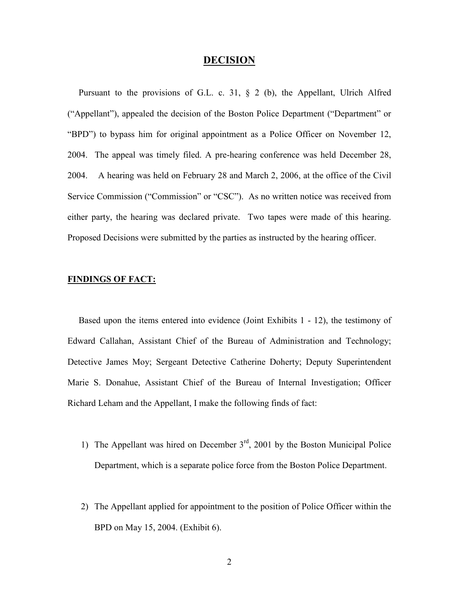## DECISION

 Pursuant to the provisions of G.L. c. 31, § 2 (b), the Appellant, Ulrich Alfred ("Appellant"), appealed the decision of the Boston Police Department ("Department" or "BPD") to bypass him for original appointment as a Police Officer on November 12, 2004. The appeal was timely filed. A pre-hearing conference was held December 28, 2004. A hearing was held on February 28 and March 2, 2006, at the office of the Civil Service Commission ("Commission" or "CSC"). As no written notice was received from either party, the hearing was declared private. Two tapes were made of this hearing. Proposed Decisions were submitted by the parties as instructed by the hearing officer.

## FINDINGS OF FACT:

 Based upon the items entered into evidence (Joint Exhibits 1 - 12), the testimony of Edward Callahan, Assistant Chief of the Bureau of Administration and Technology; Detective James Moy; Sergeant Detective Catherine Doherty; Deputy Superintendent Marie S. Donahue, Assistant Chief of the Bureau of Internal Investigation; Officer Richard Leham and the Appellant, I make the following finds of fact:

- 1) The Appellant was hired on December  $3<sup>rd</sup>$ , 2001 by the Boston Municipal Police Department, which is a separate police force from the Boston Police Department.
- 2) The Appellant applied for appointment to the position of Police Officer within the BPD on May 15, 2004. (Exhibit 6).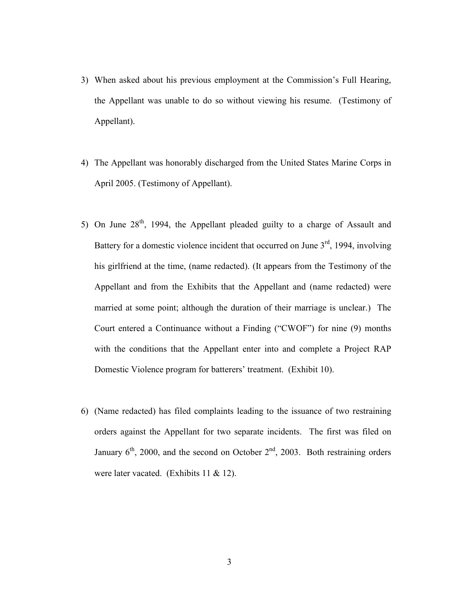- 3) When asked about his previous employment at the Commission's Full Hearing, the Appellant was unable to do so without viewing his resume. (Testimony of Appellant).
- 4) The Appellant was honorably discharged from the United States Marine Corps in April 2005. (Testimony of Appellant).
- 5) On June  $28<sup>th</sup>$ , 1994, the Appellant pleaded guilty to a charge of Assault and Battery for a domestic violence incident that occurred on June  $3<sup>rd</sup>$ , 1994, involving his girlfriend at the time, (name redacted). (It appears from the Testimony of the Appellant and from the Exhibits that the Appellant and (name redacted) were married at some point; although the duration of their marriage is unclear.) The Court entered a Continuance without a Finding ("CWOF") for nine (9) months with the conditions that the Appellant enter into and complete a Project RAP Domestic Violence program for batterers' treatment. (Exhibit 10).
- 6) (Name redacted) has filed complaints leading to the issuance of two restraining orders against the Appellant for two separate incidents. The first was filed on January  $6<sup>th</sup>$ , 2000, and the second on October  $2<sup>nd</sup>$ , 2003. Both restraining orders were later vacated. (Exhibits 11 & 12).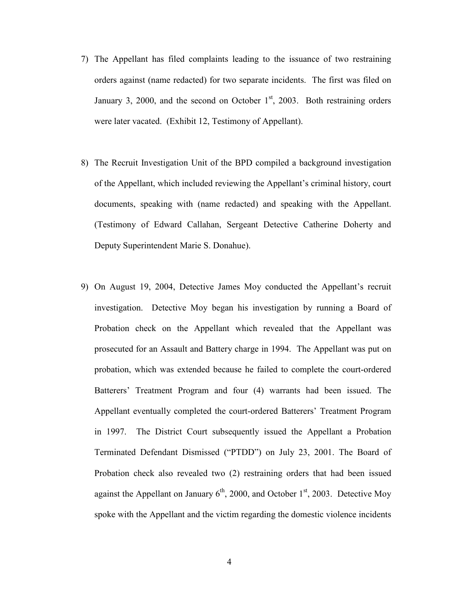- 7) The Appellant has filed complaints leading to the issuance of two restraining orders against (name redacted) for two separate incidents. The first was filed on January 3, 2000, and the second on October  $1<sup>st</sup>$ , 2003. Both restraining orders were later vacated. (Exhibit 12, Testimony of Appellant).
- 8) The Recruit Investigation Unit of the BPD compiled a background investigation of the Appellant, which included reviewing the Appellant's criminal history, court documents, speaking with (name redacted) and speaking with the Appellant. (Testimony of Edward Callahan, Sergeant Detective Catherine Doherty and Deputy Superintendent Marie S. Donahue).
- 9) On August 19, 2004, Detective James Moy conducted the Appellant's recruit investigation. Detective Moy began his investigation by running a Board of Probation check on the Appellant which revealed that the Appellant was prosecuted for an Assault and Battery charge in 1994. The Appellant was put on probation, which was extended because he failed to complete the court-ordered Batterers' Treatment Program and four (4) warrants had been issued. The Appellant eventually completed the court-ordered Batterers' Treatment Program in 1997. The District Court subsequently issued the Appellant a Probation Terminated Defendant Dismissed ("PTDD") on July 23, 2001. The Board of Probation check also revealed two (2) restraining orders that had been issued against the Appellant on January  $6<sup>th</sup>$ , 2000, and October 1<sup>st</sup>, 2003. Detective Moy spoke with the Appellant and the victim regarding the domestic violence incidents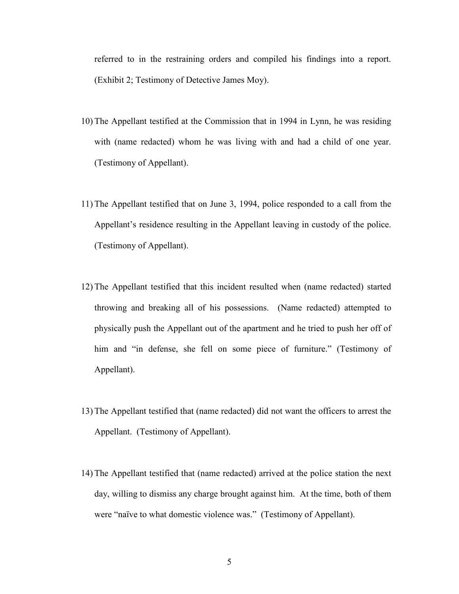referred to in the restraining orders and compiled his findings into a report. (Exhibit 2; Testimony of Detective James Moy).

- 10) The Appellant testified at the Commission that in 1994 in Lynn, he was residing with (name redacted) whom he was living with and had a child of one year. (Testimony of Appellant).
- 11) The Appellant testified that on June 3, 1994, police responded to a call from the Appellant's residence resulting in the Appellant leaving in custody of the police. (Testimony of Appellant).
- 12) The Appellant testified that this incident resulted when (name redacted) started throwing and breaking all of his possessions. (Name redacted) attempted to physically push the Appellant out of the apartment and he tried to push her off of him and "in defense, she fell on some piece of furniture." (Testimony of Appellant).
- 13) The Appellant testified that (name redacted) did not want the officers to arrest the Appellant. (Testimony of Appellant).
- 14) The Appellant testified that (name redacted) arrived at the police station the next day, willing to dismiss any charge brought against him. At the time, both of them were "naïve to what domestic violence was." (Testimony of Appellant).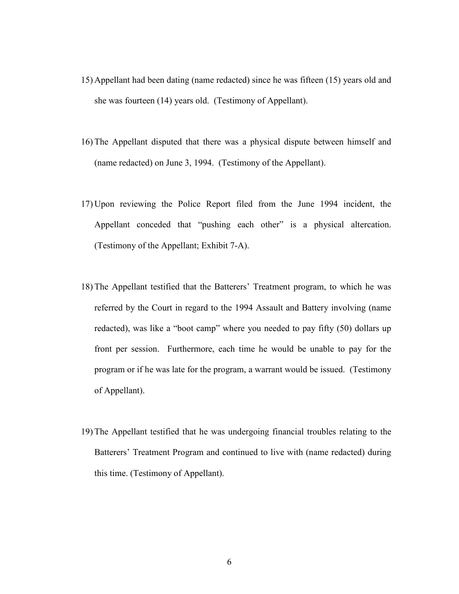- 15) Appellant had been dating (name redacted) since he was fifteen (15) years old and she was fourteen (14) years old. (Testimony of Appellant).
- 16) The Appellant disputed that there was a physical dispute between himself and (name redacted) on June 3, 1994. (Testimony of the Appellant).
- 17) Upon reviewing the Police Report filed from the June 1994 incident, the Appellant conceded that "pushing each other" is a physical altercation. (Testimony of the Appellant; Exhibit 7-A).
- 18) The Appellant testified that the Batterers' Treatment program, to which he was referred by the Court in regard to the 1994 Assault and Battery involving (name redacted), was like a "boot camp" where you needed to pay fifty (50) dollars up front per session. Furthermore, each time he would be unable to pay for the program or if he was late for the program, a warrant would be issued. (Testimony of Appellant).
- 19) The Appellant testified that he was undergoing financial troubles relating to the Batterers' Treatment Program and continued to live with (name redacted) during this time. (Testimony of Appellant).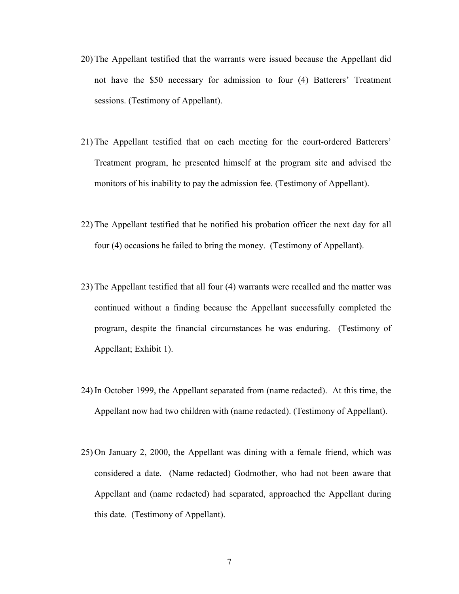- 20) The Appellant testified that the warrants were issued because the Appellant did not have the \$50 necessary for admission to four (4) Batterers' Treatment sessions. (Testimony of Appellant).
- 21) The Appellant testified that on each meeting for the court-ordered Batterers' Treatment program, he presented himself at the program site and advised the monitors of his inability to pay the admission fee. (Testimony of Appellant).
- 22) The Appellant testified that he notified his probation officer the next day for all four (4) occasions he failed to bring the money. (Testimony of Appellant).
- 23) The Appellant testified that all four (4) warrants were recalled and the matter was continued without a finding because the Appellant successfully completed the program, despite the financial circumstances he was enduring. (Testimony of Appellant; Exhibit 1).
- 24) In October 1999, the Appellant separated from (name redacted). At this time, the Appellant now had two children with (name redacted). (Testimony of Appellant).
- 25) On January 2, 2000, the Appellant was dining with a female friend, which was considered a date. (Name redacted) Godmother, who had not been aware that Appellant and (name redacted) had separated, approached the Appellant during this date. (Testimony of Appellant).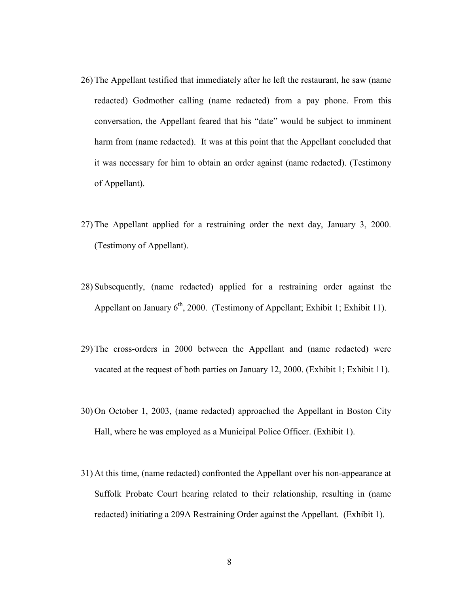- 26) The Appellant testified that immediately after he left the restaurant, he saw (name redacted) Godmother calling (name redacted) from a pay phone. From this conversation, the Appellant feared that his "date" would be subject to imminent harm from (name redacted). It was at this point that the Appellant concluded that it was necessary for him to obtain an order against (name redacted). (Testimony of Appellant).
- 27) The Appellant applied for a restraining order the next day, January 3, 2000. (Testimony of Appellant).
- 28) Subsequently, (name redacted) applied for a restraining order against the Appellant on January  $6<sup>th</sup>$ , 2000. (Testimony of Appellant; Exhibit 1; Exhibit 11).
- 29) The cross-orders in 2000 between the Appellant and (name redacted) were vacated at the request of both parties on January 12, 2000. (Exhibit 1; Exhibit 11).
- 30) On October 1, 2003, (name redacted) approached the Appellant in Boston City Hall, where he was employed as a Municipal Police Officer. (Exhibit 1).
- 31) At this time, (name redacted) confronted the Appellant over his non-appearance at Suffolk Probate Court hearing related to their relationship, resulting in (name redacted) initiating a 209A Restraining Order against the Appellant. (Exhibit 1).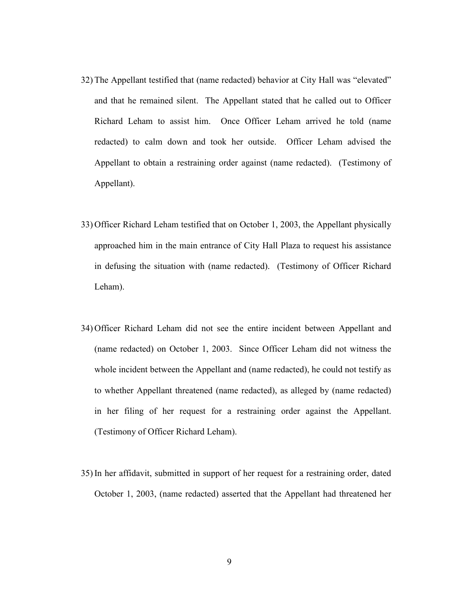- 32) The Appellant testified that (name redacted) behavior at City Hall was "elevated" and that he remained silent. The Appellant stated that he called out to Officer Richard Leham to assist him. Once Officer Leham arrived he told (name redacted) to calm down and took her outside. Officer Leham advised the Appellant to obtain a restraining order against (name redacted). (Testimony of Appellant).
- 33) Officer Richard Leham testified that on October 1, 2003, the Appellant physically approached him in the main entrance of City Hall Plaza to request his assistance in defusing the situation with (name redacted). (Testimony of Officer Richard Leham).
- 34) Officer Richard Leham did not see the entire incident between Appellant and (name redacted) on October 1, 2003. Since Officer Leham did not witness the whole incident between the Appellant and (name redacted), he could not testify as to whether Appellant threatened (name redacted), as alleged by (name redacted) in her filing of her request for a restraining order against the Appellant. (Testimony of Officer Richard Leham).
- 35) In her affidavit, submitted in support of her request for a restraining order, dated October 1, 2003, (name redacted) asserted that the Appellant had threatened her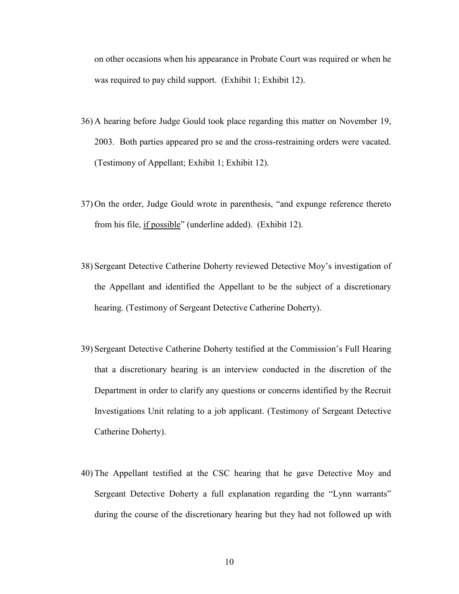on other occasions when his appearance in Probate Court was required or when he was required to pay child support. (Exhibit 1; Exhibit 12).

- 36) A hearing before Judge Gould took place regarding this matter on November 19, 2003. Both parties appeared pro se and the cross-restraining orders were vacated. (Testimony of Appellant; Exhibit 1; Exhibit 12).
- 37) On the order, Judge Gould wrote in parenthesis, "and expunge reference thereto from his file, if possible" (underline added). (Exhibit 12).
- 38) Sergeant Detective Catherine Doherty reviewed Detective Moy's investigation of the Appellant and identified the Appellant to be the subject of a discretionary hearing. (Testimony of Sergeant Detective Catherine Doherty).
- 39) Sergeant Detective Catherine Doherty testified at the Commission's Full Hearing that a discretionary hearing is an interview conducted in the discretion of the Department in order to clarify any questions or concerns identified by the Recruit Investigations Unit relating to a job applicant. (Testimony of Sergeant Detective Catherine Doherty).
- 40) The Appellant testified at the CSC hearing that he gave Detective Moy and Sergeant Detective Doherty a full explanation regarding the "Lynn warrants" during the course of the discretionary hearing but they had not followed up with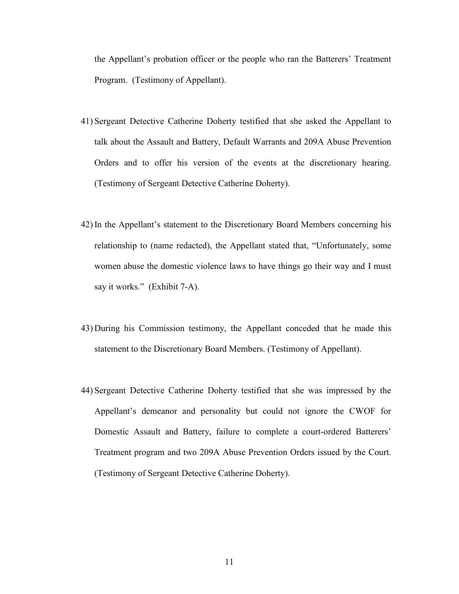the Appellant's probation officer or the people who ran the Batterers' Treatment Program. (Testimony of Appellant).

- 41) Sergeant Detective Catherine Doherty testified that she asked the Appellant to talk about the Assault and Battery, Default Warrants and 209A Abuse Prevention Orders and to offer his version of the events at the discretionary hearing. (Testimony of Sergeant Detective Catherine Doherty).
- 42) In the Appellant's statement to the Discretionary Board Members concerning his relationship to (name redacted), the Appellant stated that, "Unfortunately, some women abuse the domestic violence laws to have things go their way and I must say it works." (Exhibit 7-A).
- 43) During his Commission testimony, the Appellant conceded that he made this statement to the Discretionary Board Members. (Testimony of Appellant).
- 44) Sergeant Detective Catherine Doherty testified that she was impressed by the Appellant's demeanor and personality but could not ignore the CWOF for Domestic Assault and Battery, failure to complete a court-ordered Batterers' Treatment program and two 209A Abuse Prevention Orders issued by the Court. (Testimony of Sergeant Detective Catherine Doherty).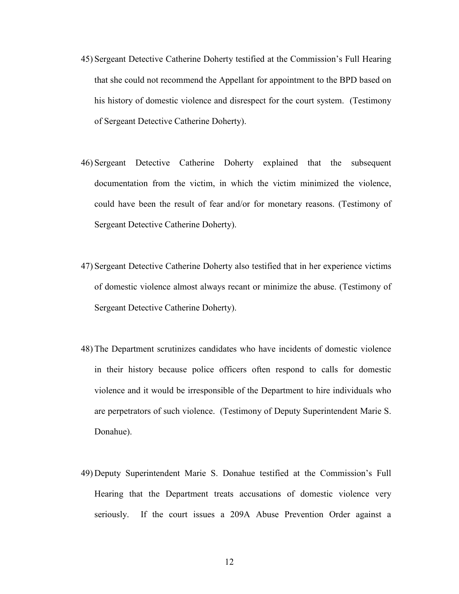- 45) Sergeant Detective Catherine Doherty testified at the Commission's Full Hearing that she could not recommend the Appellant for appointment to the BPD based on his history of domestic violence and disrespect for the court system. (Testimony of Sergeant Detective Catherine Doherty).
- 46) Sergeant Detective Catherine Doherty explained that the subsequent documentation from the victim, in which the victim minimized the violence, could have been the result of fear and/or for monetary reasons. (Testimony of Sergeant Detective Catherine Doherty).
- 47) Sergeant Detective Catherine Doherty also testified that in her experience victims of domestic violence almost always recant or minimize the abuse. (Testimony of Sergeant Detective Catherine Doherty).
- 48) The Department scrutinizes candidates who have incidents of domestic violence in their history because police officers often respond to calls for domestic violence and it would be irresponsible of the Department to hire individuals who are perpetrators of such violence. (Testimony of Deputy Superintendent Marie S. Donahue).
- 49) Deputy Superintendent Marie S. Donahue testified at the Commission's Full Hearing that the Department treats accusations of domestic violence very seriously. If the court issues a 209A Abuse Prevention Order against a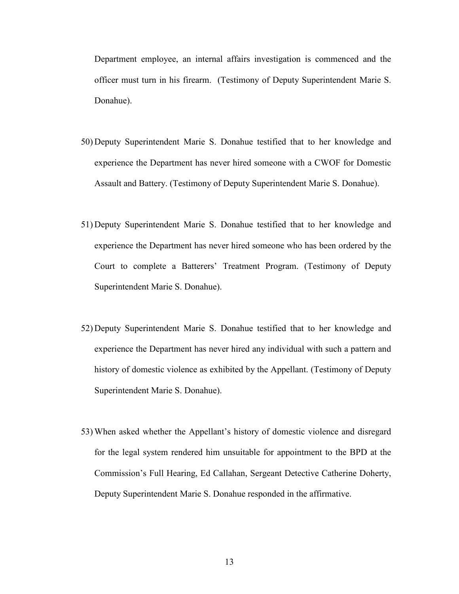Department employee, an internal affairs investigation is commenced and the officer must turn in his firearm. (Testimony of Deputy Superintendent Marie S. Donahue).

- 50) Deputy Superintendent Marie S. Donahue testified that to her knowledge and experience the Department has never hired someone with a CWOF for Domestic Assault and Battery. (Testimony of Deputy Superintendent Marie S. Donahue).
- 51) Deputy Superintendent Marie S. Donahue testified that to her knowledge and experience the Department has never hired someone who has been ordered by the Court to complete a Batterers' Treatment Program. (Testimony of Deputy Superintendent Marie S. Donahue).
- 52) Deputy Superintendent Marie S. Donahue testified that to her knowledge and experience the Department has never hired any individual with such a pattern and history of domestic violence as exhibited by the Appellant. (Testimony of Deputy Superintendent Marie S. Donahue).
- 53) When asked whether the Appellant's history of domestic violence and disregard for the legal system rendered him unsuitable for appointment to the BPD at the Commission's Full Hearing, Ed Callahan, Sergeant Detective Catherine Doherty, Deputy Superintendent Marie S. Donahue responded in the affirmative.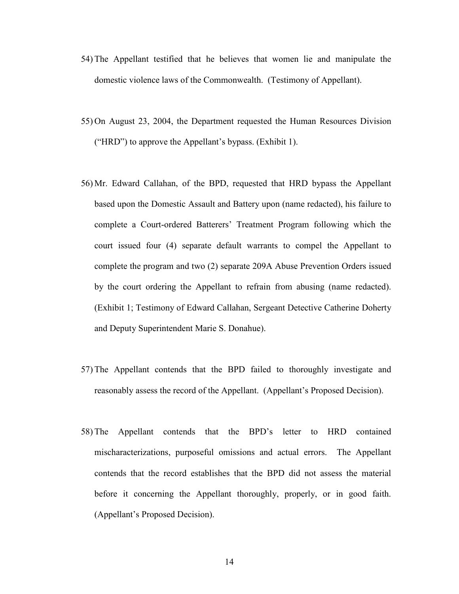- 54) The Appellant testified that he believes that women lie and manipulate the domestic violence laws of the Commonwealth. (Testimony of Appellant).
- 55) On August 23, 2004, the Department requested the Human Resources Division ("HRD") to approve the Appellant's bypass. (Exhibit 1).
- 56) Mr. Edward Callahan, of the BPD, requested that HRD bypass the Appellant based upon the Domestic Assault and Battery upon (name redacted), his failure to complete a Court-ordered Batterers' Treatment Program following which the court issued four (4) separate default warrants to compel the Appellant to complete the program and two (2) separate 209A Abuse Prevention Orders issued by the court ordering the Appellant to refrain from abusing (name redacted). (Exhibit 1; Testimony of Edward Callahan, Sergeant Detective Catherine Doherty and Deputy Superintendent Marie S. Donahue).
- 57) The Appellant contends that the BPD failed to thoroughly investigate and reasonably assess the record of the Appellant. (Appellant's Proposed Decision).
- 58) The Appellant contends that the BPD's letter to HRD contained mischaracterizations, purposeful omissions and actual errors. The Appellant contends that the record establishes that the BPD did not assess the material before it concerning the Appellant thoroughly, properly, or in good faith. (Appellant's Proposed Decision).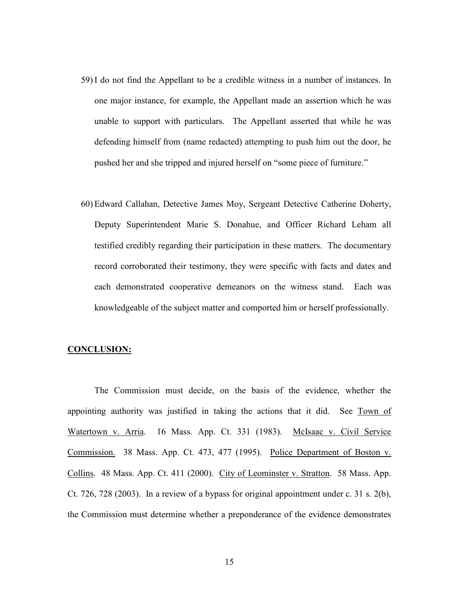- 59) I do not find the Appellant to be a credible witness in a number of instances. In one major instance, for example, the Appellant made an assertion which he was unable to support with particulars. The Appellant asserted that while he was defending himself from (name redacted) attempting to push him out the door, he pushed her and she tripped and injured herself on "some piece of furniture."
- 60) Edward Callahan, Detective James Moy, Sergeant Detective Catherine Doherty, Deputy Superintendent Marie S. Donahue, and Officer Richard Leham all testified credibly regarding their participation in these matters. The documentary record corroborated their testimony, they were specific with facts and dates and each demonstrated cooperative demeanors on the witness stand. Each was knowledgeable of the subject matter and comported him or herself professionally.

## CONCLUSION:

The Commission must decide, on the basis of the evidence, whether the appointing authority was justified in taking the actions that it did. See Town of Watertown v. Arria. 16 Mass. App. Ct. 331 (1983). McIsaac v. Civil Service Commission. 38 Mass. App. Ct. 473, 477 (1995). Police Department of Boston v. Collins. 48 Mass. App. Ct. 411 (2000). City of Leominster v. Stratton. 58 Mass. App. Ct. 726, 728 (2003). In a review of a bypass for original appointment under c. 31 s. 2(b), the Commission must determine whether a preponderance of the evidence demonstrates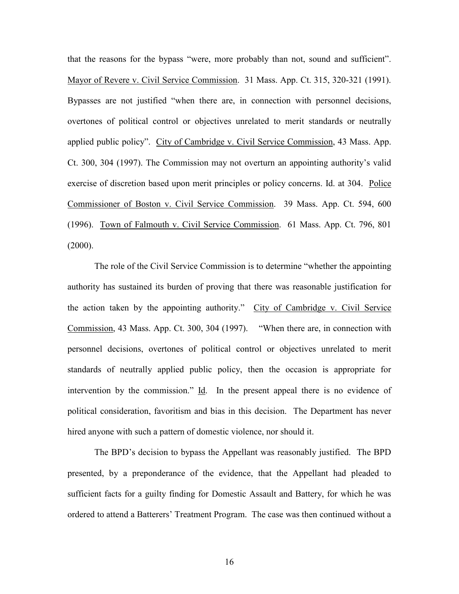that the reasons for the bypass "were, more probably than not, sound and sufficient". Mayor of Revere v. Civil Service Commission. 31 Mass. App. Ct. 315, 320-321 (1991). Bypasses are not justified "when there are, in connection with personnel decisions, overtones of political control or objectives unrelated to merit standards or neutrally applied public policy". City of Cambridge v. Civil Service Commission, 43 Mass. App. Ct. 300, 304 (1997). The Commission may not overturn an appointing authority's valid exercise of discretion based upon merit principles or policy concerns. Id. at 304. Police Commissioner of Boston v. Civil Service Commission. 39 Mass. App. Ct. 594, 600 (1996). Town of Falmouth v. Civil Service Commission. 61 Mass. App. Ct. 796, 801  $(2000)$ .

The role of the Civil Service Commission is to determine "whether the appointing authority has sustained its burden of proving that there was reasonable justification for the action taken by the appointing authority." City of Cambridge v. Civil Service Commission, 43 Mass. App. Ct. 300, 304 (1997). "When there are, in connection with personnel decisions, overtones of political control or objectives unrelated to merit standards of neutrally applied public policy, then the occasion is appropriate for intervention by the commission." Id. In the present appeal there is no evidence of political consideration, favoritism and bias in this decision. The Department has never hired anyone with such a pattern of domestic violence, nor should it.

 The BPD's decision to bypass the Appellant was reasonably justified. The BPD presented, by a preponderance of the evidence, that the Appellant had pleaded to sufficient facts for a guilty finding for Domestic Assault and Battery, for which he was ordered to attend a Batterers' Treatment Program. The case was then continued without a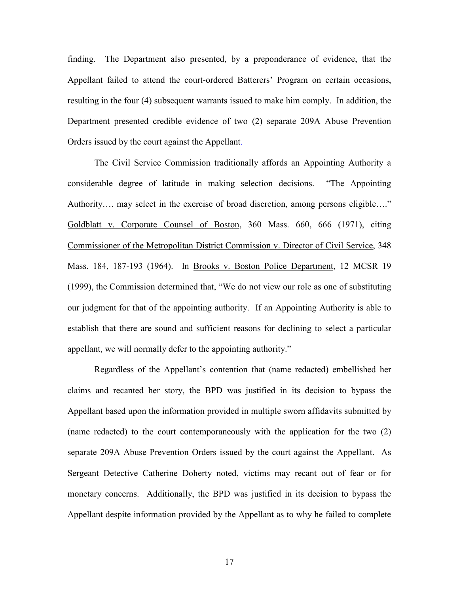finding. The Department also presented, by a preponderance of evidence, that the Appellant failed to attend the court-ordered Batterers' Program on certain occasions, resulting in the four (4) subsequent warrants issued to make him comply. In addition, the Department presented credible evidence of two (2) separate 209A Abuse Prevention Orders issued by the court against the Appellant.

The Civil Service Commission traditionally affords an Appointing Authority a considerable degree of latitude in making selection decisions. "The Appointing Authority…. may select in the exercise of broad discretion, among persons eligible…." Goldblatt v. Corporate Counsel of Boston, 360 Mass. 660, 666 (1971), citing Commissioner of the Metropolitan District Commission v. Director of Civil Service, 348 Mass. 184, 187-193 (1964). In Brooks v. Boston Police Department, 12 MCSR 19 (1999), the Commission determined that, "We do not view our role as one of substituting our judgment for that of the appointing authority. If an Appointing Authority is able to establish that there are sound and sufficient reasons for declining to select a particular appellant, we will normally defer to the appointing authority."

Regardless of the Appellant's contention that (name redacted) embellished her claims and recanted her story, the BPD was justified in its decision to bypass the Appellant based upon the information provided in multiple sworn affidavits submitted by (name redacted) to the court contemporaneously with the application for the two (2) separate 209A Abuse Prevention Orders issued by the court against the Appellant. As Sergeant Detective Catherine Doherty noted, victims may recant out of fear or for monetary concerns. Additionally, the BPD was justified in its decision to bypass the Appellant despite information provided by the Appellant as to why he failed to complete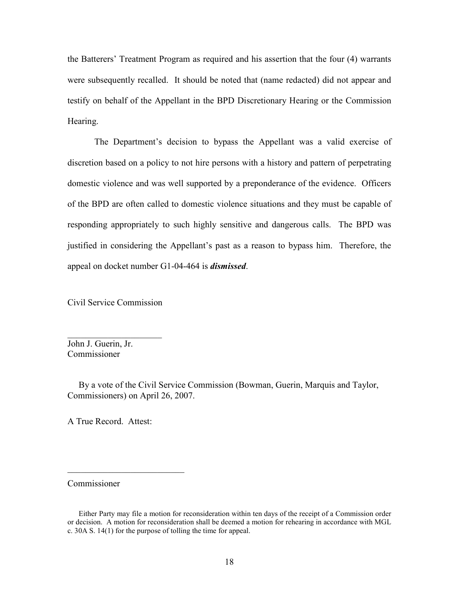the Batterers' Treatment Program as required and his assertion that the four (4) warrants were subsequently recalled. It should be noted that (name redacted) did not appear and testify on behalf of the Appellant in the BPD Discretionary Hearing or the Commission Hearing.

The Department's decision to bypass the Appellant was a valid exercise of discretion based on a policy to not hire persons with a history and pattern of perpetrating domestic violence and was well supported by a preponderance of the evidence. Officers of the BPD are often called to domestic violence situations and they must be capable of responding appropriately to such highly sensitive and dangerous calls. The BPD was justified in considering the Appellant's past as a reason to bypass him. Therefore, the appeal on docket number G1-04-464 is dismissed.

Civil Service Commission

 $\overline{\phantom{a}}$  , which is a set of the set of the set of the set of the set of the set of the set of the set of the set of the set of the set of the set of the set of the set of the set of the set of the set of the set of th

John J. Guerin, Jr. Commissioner

 By a vote of the Civil Service Commission (Bowman, Guerin, Marquis and Taylor, Commissioners) on April 26, 2007.

A True Record. Attest:

 $\overline{\phantom{a}}$  , which is a set of the set of the set of the set of the set of the set of the set of the set of the set of the set of the set of the set of the set of the set of the set of the set of the set of the set of th

Commissioner

Either Party may file a motion for reconsideration within ten days of the receipt of a Commission order or decision. A motion for reconsideration shall be deemed a motion for rehearing in accordance with MGL c. 30A S. 14(1) for the purpose of tolling the time for appeal.